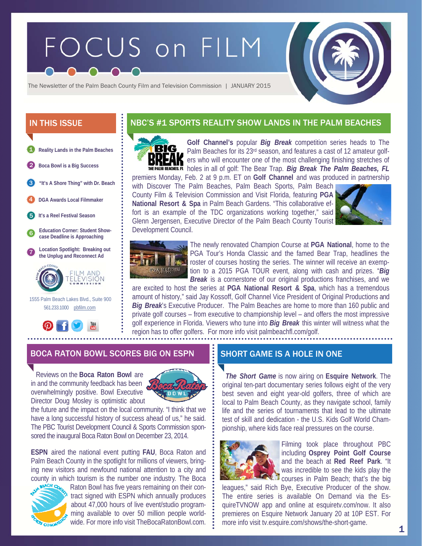# FOCUS on FILM



The Newsletter of the Palm Beach County Film and Television Commission | JANUARY 2015

- **Reality Lands in the Palm Beaches**  1
- 2 **Boca Bowl is a Big Success**
- **"It's A Shore Thing" with Dr. Beach**  3
- 4 **DGA Awards Local Filmmaker**
- 5 **It's a Reel Festival Season**
- 6 **Education Corner: Student Showcase Deadline is Approaching**





 1555 Palm Beach Lakes Blvd., Suite 900 561.233.1000 pbfilm.com



# IN THIS ISSUE **Realist Act ACT SPORTS REALITY SHOW LANDS IN THE PALM BEACHES**



**Golf Channel's** popular *Big Break* competition series heads to The Palm Beaches for its 23rd season, and features a cast of 12 amateur golf-**K** ers who will encounter one of the most challenging finishing stretches of THE PALM BEACHES. **FL** holes in all of golf: The Bear Trap. *Big Break The Palm Beaches, FL* 

premiers Monday, Feb. 2 at 9 p.m. ET on **Golf Channel** and was produced in partnership with Discover The Palm Beaches, Palm Beach Sports, Palm Beach County Film & Television Commission and Visit Florida, featuring **PGA National Resort & Spa** in Palm Beach Gardens. "This collaborative effort is an example of the TDC organizations working together," said Glenn Jergensen, Executive Director of the Palm Beach County Tourist Development Council.





The newly renovated Champion Course at **PGA National**, home to the PGA Tour's Honda Classic and the famed Bear Trap, headlines the roster of courses hosting the series. The winner will receive an exemption to a 2015 PGA TOUR event, along with cash and prizes. "*Big Break* is a cornerstone of our original productions franchises, and we

are excited to host the series at **PGA National Resort & Spa**, which has a tremendous amount of history," said Jay Kossoff, Golf Channel Vice President of Original Productions and *Big Break*'s Executive Producer. The Palm Beaches are home to more than 160 public and private golf courses – from executive to championship level – and offers the most impressive golf experience in Florida. Viewers who tune into *Big Break* this winter will witness what the region has to offer golfers. For more info visit palmbeachfl.com/golf.

## BOCA RATON BOWL SCORES BIG ON ESPN  $\quad$  is short game is a hole in one.

 Reviews on the **Boca Raton Bowl** are in and the community feedback has been overwhelmingly positive. Bowl Executive Director Doug Mosley is optimistic about



the future and the impact on the local community. "I think that we have a long successful history of success ahead of us," he said. The PBC Tourist Development Council & Sports Commission sponsored the inaugural Boca Raton Bowl on December 23, 2014.

**ESPN** aired the national event putting **FAU**, Boca Raton and Palm Beach County in the spotlight for millions of viewers, bringing new visitors and newfound national attention to a city and county in which tourism is the number one industry. The Boca



Raton Bowl has five years remaining on their contract signed with ESPN which annually produces about 47,000 hours of live event/studio programming available to over 50 million people worldwide. For more info visit TheBocaRatonBowl.com.

 *The Short Game* is now airing on **Esquire Network**. The original ten-part documentary series follows eight of the very best seven and eight year-old golfers, three of which are local to Palm Beach County, as they navigate school, family life and the series of tournaments that lead to the ultimate test of skill and dedication - the U.S. Kids Golf World Championship, where kids face real pressures on the course.



Filming took place throughout PBC including **Osprey Point Golf Course** and the beach at **Red Reef Park**. "It was incredible to see the kids play the **Courses in Palm Beach; that's the big** 

leagues," said Rich Bye, Executive Producer of the show. The entire series is available On Demand via the EsquireTVNOW app and online at esquiretv.com/now. It also premieres on Esquire Network January 20 at 10P EST. For more info visit tv.esquire.com/shows/the-short-game.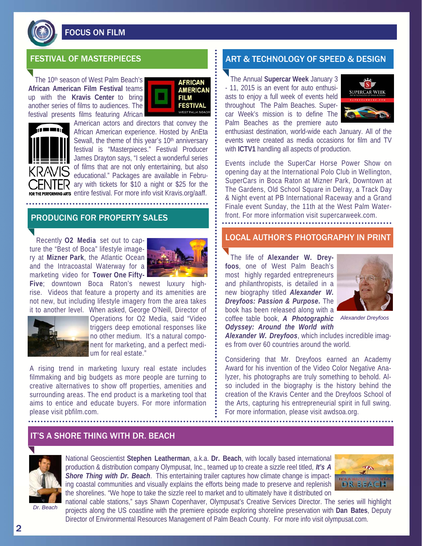

FOCUS ON FILM

The 10<sup>th</sup> season of West Palm Beach's **African American Film Festival** teams up with the **Kravis Center** to bring another series of films to audiences. The festival presents films featuring African





American actors and directors that convey the African American experience. Hosted by AnEta Sewall, the theme of this year's 10<sup>th</sup> anniversary festival is "Masterpieces." Festival Producer James Drayton says, "I select a wonderful series of films that are not only entertaining, but also educational." Packages are available in Febru-ER ary with tickets for \$10 a night or \$25 for the FOR THE PERFORMING ARTS entire festival. For more info visit Kravis.org/aaff.

## PRODUCING FOR PROPERTY SALES

Recently **O2 Media** set out to capture the "Best of Boca" lifestyle imagery at **Mizner Park**, the Atlantic Ocean and the Intracoastal Waterway for a marketing video for **Tower One Fifty-**



**Five**; downtown Boca Raton's newest luxury highrise. Videos that feature a property and its amenities are not new, but including lifestyle imagery from the area takes it to another level. When asked, George O'Neill, Director of



Operations for O2 Media, said "Video triggers deep emotional responses like no other medium. It's a natural component for marketing, and a perfect medium for real estate."

A rising trend in marketing luxury real estate includes filmmaking and big budgets as more people are turning to creative alternatives to show off properties, amenities and surrounding areas. The end product is a marketing tool that aims to entice and educate buyers. For more information please visit pbfilm.com.

# FESTIVAL OF MASTERPIECES **ART & TECHNOLOGY OF SPEED & DESIGN**

 The Annual **Supercar Week** January 3 - 11, 2015 is an event for auto enthusiasts to enjoy a full week of events held throughout The Palm Beaches. Supercar Week's mission is to define The Palm Beaches as the premiere auto



enthusiast destination, world-wide each January. All of the events were created as media occasions for film and TV with **ICTV1** handling all aspects of production.

Events include the SuperCar Horse Power Show on opening day at the International Polo Club in Wellington, SuperCars in Boca Raton at Mizner Park, Downtown at The Gardens, Old School Square in Delray, a Track Day & Night event at PB International Raceway and a Grand Finale event Sunday, the 11th at the West Palm Waterfront. For more information visit supercarweek.com.

# LOCAL AUTHOR'S PHOTOGRAPHY IN PRINT

The life of **Alexander W. Dreyfoos**, one of West Palm Beach's most highly regarded entrepreneurs and philanthropists, is detailed in a new biography titled *Alexander W. Dreyfoos: Passion & Purpose***.** The book has been released along with a coffee table book, *A Photographic Alexander Dreyfoos Odyssey: Around the World with* 



*Alexander W. Dreyfoos*, which includes incredible images from over 60 countries around the world.

Considering that Mr. Dreyfoos earned an Academy Award for his invention of the Video Color Negative Analyzer, his photographs are truly something to behold. Also included in the biography is the history behind the creation of the Kravis Center and the Dreyfoos School of the Arts, capturing his entrepreneurial spirit in full swing. For more information, please visit awdsoa.org.

## IT'S A SHORE THING WITH DR. BEACH



National Geoscientist **Stephen Leatherman**, a.k.a. **Dr. Beach**, with locally based international production & distribution company Olympusat, Inc., teamed up to create a sizzle reel titled, *It's A Shore Thing with Dr. Beach*. This entertaining trailer captures how climate change is impacting coastal communities and visually explains the efforts being made to preserve and replenish the shorelines. "We hope to take the sizzle reel to market and to ultimately have it distributed on



*Dr. Beach* 

national cable stations," says Shawn Copenhaver, Olympusat's Creative Services Director. The series will highlight projects along the US coastline with the premiere episode exploring shoreline preservation with **Dan Bates**, Deputy Director of Environmental Resources Management of Palm Beach County. For more info visit olympusat.com.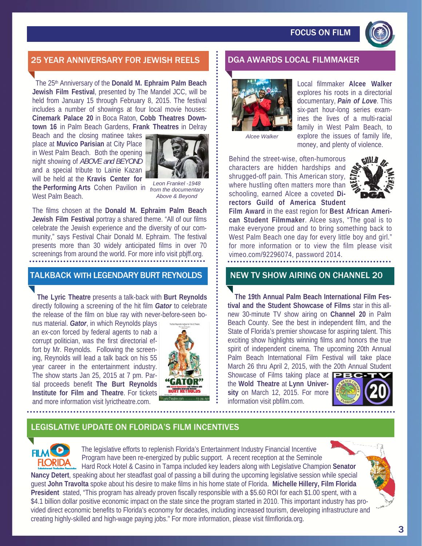

# 25 YEAR ANNIVERSARY FOR JEWISH REELS **BEIDGA AWARDS LOCAL FILMMAKER**

 The 25th Anniversary of the **Donald M. Ephraim Palm Beach Jewish Film Festival**, presented by The Mandel JCC, will be held from January 15 through February 8, 2015. The festival includes a number of showings at four local movie houses: **Cinemark Palace 20** in Boca Raton, **Cobb Theatres Downtown 16** in Palm Beach Gardens, **Frank Theatres** in Delray

Beach and the closing matinee takes place at **Muvico Parisian** at City Place in West Palm Beach. Both the opening night showing of *ABOVE and BEYOND* and a special tribute to Lainie Kazan will be held at the **Kravis Center for** 



**the Performing Arts** Cohen Pavilion in *from the documentary*  West Palm Beach.

*Leon Frankel -1948 Above & Beyond* 

The films chosen at the **Donald M. Ephraim Palm Beach Jewish Film Festival** portray a shared theme. "All of our films celebrate the Jewish experience and the diversity of our community," says Festival Chair Donald M. Ephraim. The festival presents more than 30 widely anticipated films in over 70 screenings from around the world. For more info visit pbjff.org.

#### TALKBACK WITH LEGENDARY BURT REYNOLDS

 **The Lyric Theatre** presents a talk-back with **Burt Reynolds** directly following a screening of the hit film *Gator* to celebrate the release of the film on blue ray with never-before-seen bo-

nus material. *Gator*, in which Reynolds plays an ex-con forced by federal agents to nab a corrupt politician, was the first directorial effort by Mr. Reynolds. Following the screening, Reynolds will lead a talk back on his 55 year career in the entertainment industry. The show starts Jan 25, 2015 at 7 pm. Partial proceeds benefit **The Burt Reynolds Institute for Film and Theatre**. For tickets and more information visit lyrictheatre.com.





Local filmmaker **Alcee Walker**  explores his roots in a directorial documentary, *Pain of Love*. This six-part hour-long series examines the lives of a multi-racial family in West Palm Beach, to explore the issues of family life, money, and plenty of violence.

*Alcee Walker* 

Behind the street-wise, often-humorous characters are hidden hardships and shrugged-off pain. This American story,  $\epsilon$ where hustling often matters more than schooling, earned Alcee a coveted **Directors Guild of America Student** 



**Film Award** in the east region for **Best African American Student Filmmaker**. Alcee says, "The goal is to make everyone proud and to bring something back to West Palm Beach one day for every little boy and girl." for more information or to view the film please visit vimeo.com/92296074, password 2014.

# NEW TV SHOW AIRING ON CHANNEL 20

 **The 19th Annual Palm Beach International Film Festival and the Student Showcase of Films** star in this allnew 30-minute TV show airing on **Channel 20** in Palm Beach County. See the best in independent film, and the State of Florida's premier showcase for aspiring talent. This exciting show highlights winning films and honors the true spirit of independent cinema. The upcoming 20th Annual Palm Beach International Film Festival will take place March 26 thru April 2, 2015, with the 20th Annual Student

Showcase of Films taking place at **PBG** the **Wold Theatre** at **Lynn University** on March 12, 2015. For more information visit pbfilm.com.



## LEGISLATIVE UPDATE ON FLORIDA'S FILM INCENTIVES



The legislative efforts to replenish Florida's Entertainment Industry Financial Incentive Program have been re-energized by public support. A recent reception at the Seminole Hard Rock Hotel & Casino in Tampa included key leaders along with Legislative Champion **Senator** 

**Nancy Detert**, speaking about her steadfast goal of passing a bill during the upcoming legislative session while special guest **John Travolta** spoke about his desire to make films in his home state of Florida. **Michelle Hillery, Film Florida President** stated, "This program has already proven fiscally responsible with a \$5.60 ROI for each \$1.00 spent, with a \$4.1 billion dollar positive economic impact on the state since the program started in 2010. This important industry has provided direct economic benefits to Florida's economy for decades, including increased tourism, developing infrastructure and creating highly-skilled and high-wage paying jobs." For more information, please visit filmflorida.org.